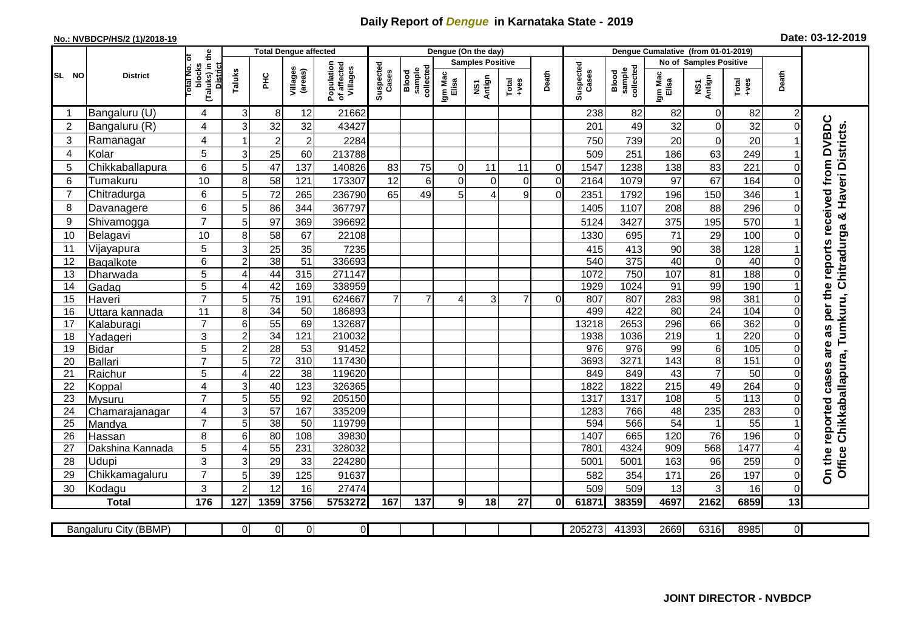## **Daily Report of** *Dengue* **in Karnataka State - 2019**

## **No.: NVBDCP/HS/2 (1)/2018-19 Date: 03-12-2019**

|                |                       |                                                   |                     |                         | Total Dengue affected |                                       |                    |                              |                  | Dengue (On the day)            |                                                              |                |                    |                              |                  |                               |               |                |                                                                                        |
|----------------|-----------------------|---------------------------------------------------|---------------------|-------------------------|-----------------------|---------------------------------------|--------------------|------------------------------|------------------|--------------------------------|--------------------------------------------------------------|----------------|--------------------|------------------------------|------------------|-------------------------------|---------------|----------------|----------------------------------------------------------------------------------------|
|                |                       | ō                                                 |                     |                         |                       |                                       |                    |                              |                  | <b>Samples Positive</b>        |                                                              |                |                    |                              |                  | <b>No of Samples Positive</b> |               |                |                                                                                        |
| SL NO          | <b>District</b>       | (Taluks) in the<br>District<br>blocks<br>otal No. | Taluks              | PНC                     | Villages<br>(areas)   | Population<br>of affected<br>Villages | Suspected<br>Cases | sample<br>collected<br>Blood | Igm Mac<br>Elisa | Antign<br>$\mathbf{\tilde{s}}$ | $\begin{array}{c}\n\text{Total} \\ \text{Area}\n\end{array}$ | Death          | Suspected<br>Cases | sample<br>collected<br>Blood | Igm Mac<br>Elisa | NS1<br>Antign                 | Total<br>+ves | Death          |                                                                                        |
|                | Bangaluru (U)         | 4                                                 | 3                   | 8                       | 12                    | 21662                                 |                    |                              |                  |                                |                                                              |                | 238                | 82                           | 82               | $\Omega$                      | 82            |                |                                                                                        |
| $\overline{c}$ | Bangaluru (R)         | 4                                                 | 3                   | 32                      | 32                    | 43427                                 |                    |                              |                  |                                |                                                              |                | 201                | 49                           | 32               | $\Omega$                      | 32            | $\Omega$       |                                                                                        |
| 3              | Ramanagar             | 4                                                 | 1                   | $\overline{\mathbf{c}}$ | $\boldsymbol{2}$      | 2284                                  |                    |                              |                  |                                |                                                              |                | 750                | 739                          | 20               | 0                             | 20            |                | received from DVBDC<br>Office Chikkaballapura, Tumkuru, Chitradurga & Haveri Districts |
| $\overline{4}$ | Kolar                 | 5                                                 | 3                   | 25                      | 60                    | 213788                                |                    |                              |                  |                                |                                                              |                | 509                | 251                          | 186              | 63                            | 249           |                |                                                                                        |
| 5              | Chikkaballapura       | $6\phantom{1}$                                    | 5                   | 47                      | 137                   | 140826                                | 83                 | 75                           | $\Omega$         | 11                             | 11                                                           | $\mathbf 0$    | 1547               | 1238                         | 138              | 83                            | 221           | O              |                                                                                        |
| 6              | Tumakuru              | 10                                                | 8                   | 58                      | 121                   | 173307                                | 12                 | 6                            | $\Omega$         | $\Omega$                       | $\overline{0}$                                               | $\overline{0}$ | 2164               | 1079                         | 97               | 67                            | 164           |                |                                                                                        |
| $\overline{7}$ | Chitradurga           | $6\phantom{1}$                                    | 5                   | 72                      | 265                   | 236790                                | 65                 | 49                           | 5                | Δ                              | 9                                                            | $\overline{0}$ | 2351               | 1792                         | 196              | 150                           | 346           |                |                                                                                        |
| 8              | Davanagere            | $\,6$                                             | 5                   | 86                      | 344                   | 367797                                |                    |                              |                  |                                |                                                              |                | 1405               | 1107                         | 208              | 88                            | 296           |                |                                                                                        |
| 9              | Shivamogga            | $\overline{7}$                                    | 5                   | 97                      | 369                   | 396692                                |                    |                              |                  |                                |                                                              |                | 5124               | 3427                         | 375              | 195                           | 570           |                |                                                                                        |
| 10             | Belagavi              | 10                                                | 8                   | 58                      | 67                    | 22108                                 |                    |                              |                  |                                |                                                              |                | 1330               | 695                          | 71               | 29                            | 100           |                |                                                                                        |
| 11             | Vijayapura            | 5                                                 | 3                   | 25                      | 35                    | 7235                                  |                    |                              |                  |                                |                                                              |                | 415                | 413                          | 90               | 38                            | 128           |                | reports                                                                                |
| 12             | Bagalkote             | $6\phantom{1}$                                    | $\overline{c}$      | 38                      | $\overline{51}$       | 336693                                |                    |                              |                  |                                |                                                              |                | 540                | 375                          | 40               | $\mathbf 0$                   | 40            | O              |                                                                                        |
| 13             | Dharwada              | 5                                                 | 4                   | 44                      | 315                   | 271147                                |                    |                              |                  |                                |                                                              |                | 1072               | 750                          | 107              | 81                            | 188           | 0              |                                                                                        |
| 14             | Gadag                 | $\overline{5}$                                    | $\overline{4}$      | 42                      | 169                   | 338959                                |                    |                              |                  |                                |                                                              |                | 1929               | 1024                         | 91               | 99                            | 190           |                |                                                                                        |
| 15             | Haveri                | $\overline{7}$                                    | 5                   | 75                      | 191                   | 624667                                | $\overline{7}$     | $\overline{7}$               | 4                | 3                              | $\overline{7}$                                               | $\Omega$       | 807                | 807                          | 283              | 98                            | 381           | O              |                                                                                        |
| 16             | Uttara kannada        | 11                                                | 8                   | $\overline{34}$         | 50                    | 186893                                |                    |                              |                  |                                |                                                              |                | 499                | 422                          | $\overline{80}$  | $\overline{24}$               | 104           | O              | per the                                                                                |
| 17             | Kalaburagi            | $\overline{7}$                                    | 6                   | 55                      | 69                    | 132687                                |                    |                              |                  |                                |                                                              |                | 13218              | 2653                         | 296              | 66                            | 362           | በ              | as                                                                                     |
| 18             | Yadageri              | 3                                                 | $\mathbf 2$         | 34                      | 121                   | 210032                                |                    |                              |                  |                                |                                                              |                | 1938               | 1036                         | 219              | 1                             | 220           |                |                                                                                        |
| 19             | <b>Bidar</b>          | 5                                                 | $\overline{a}$      | 28                      | 53                    | 91452                                 |                    |                              |                  |                                |                                                              |                | 976                | 976                          | 99               | 6                             | 105           | O              | are                                                                                    |
| 20             | <b>Ballari</b>        | $\overline{7}$                                    | 5                   | $\overline{72}$         | $\overline{310}$      | 117430                                |                    |                              |                  |                                |                                                              |                | 3693               | 3271                         | $\overline{143}$ | 8                             | 151           | O              |                                                                                        |
| 21             | Raichur               | 5                                                 | 4                   | $\overline{22}$         | $\overline{38}$       | 119620                                |                    |                              |                  |                                |                                                              |                | 849                | 849                          | 43               | $\overline{7}$                | 50            | $\Omega$       | cases                                                                                  |
| 22             | Koppal                | $\overline{4}$                                    | 3                   | 40                      | 123                   | 326365                                |                    |                              |                  |                                |                                                              |                | 1822               | 1822                         | $\overline{215}$ | 49                            | 264           | O              |                                                                                        |
| 23             | Mysuru                | $\overline{7}$                                    | $\overline{5}$      | 55                      | $\overline{92}$       | 205150                                |                    |                              |                  |                                |                                                              |                | 1317               | 1317                         | 108              | $5\phantom{.0}$               | 113           | $\Omega$       |                                                                                        |
| 24             | Chamarajanagar        | 4                                                 | $\overline{3}$      | 57                      | 167                   | 335209                                |                    |                              |                  |                                |                                                              |                | 1283               | 766                          | 48               | 235                           | 283           | O              |                                                                                        |
| 25             | Mandya                | $\overline{7}$                                    | 5                   | 38                      | 50                    | 119799                                |                    |                              |                  |                                |                                                              |                | 594                | 566                          | $\overline{54}$  | 1                             | 55            |                | reported                                                                               |
| 26             | Hassan                | 8                                                 | 6                   | 80                      | 108                   | 39830                                 |                    |                              |                  |                                |                                                              |                | 1407               | 665                          | 120              | 76                            | 196           |                |                                                                                        |
| 27             | Dakshina Kannada      | 5                                                 | $\overline{4}$      | $\overline{55}$         | 231                   | 328032                                |                    |                              |                  |                                |                                                              |                | 7801               | 4324                         | 909              | 568                           | 1477          |                |                                                                                        |
| 28             | Udupi                 | 3<br>$\overline{7}$                               | 3                   | 29                      | 33                    | 224280                                |                    |                              |                  |                                |                                                              |                | 5001               | 5001                         | 163              | 96                            | 259           | O              | On the                                                                                 |
| 29             | Chikkamagaluru        | 3                                                 | 5<br>$\overline{2}$ | 39<br>12                | 125<br>16             | 91637<br>27474                        |                    |                              |                  |                                |                                                              |                | 582<br>509         | 354                          | 171              | 26                            | 197           | O              |                                                                                        |
| 30             | Kodagu                |                                                   |                     |                         |                       |                                       |                    |                              |                  |                                |                                                              |                |                    | 509                          | 13               | 3                             | 16            | $\Omega$       |                                                                                        |
|                | <b>Total</b>          | 176                                               | 127                 | 1359                    | 3756                  | 5753272                               | 167                | 137                          | 9                | 18                             | 27                                                           | 0l             | 61871              | 38359                        | 4697             | 2162                          | 6859          | 13             |                                                                                        |
|                | Bangaluru City (BBMP) |                                                   | $\Omega$            | $\overline{0}$          | $\overline{0}$        | $\overline{0}$                        |                    |                              |                  |                                |                                                              |                | 205273             | 41393                        | 2669             | 6316                          | 8985          | $\overline{0}$ |                                                                                        |